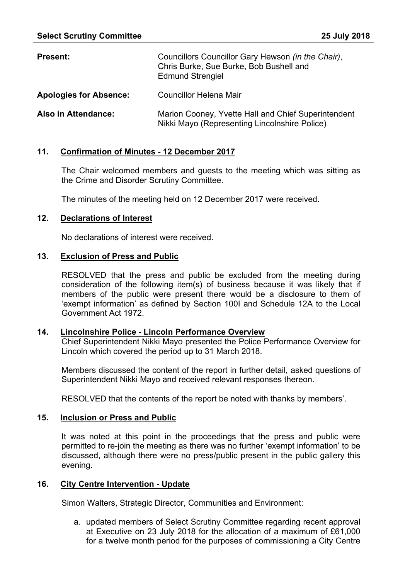| <b>Present:</b>               | Councillors Councillor Gary Hewson (in the Chair),<br>Chris Burke, Sue Burke, Bob Bushell and<br><b>Edmund Strengiel</b> |
|-------------------------------|--------------------------------------------------------------------------------------------------------------------------|
| <b>Apologies for Absence:</b> | <b>Councillor Helena Mair</b>                                                                                            |
| Also in Attendance:           | Marion Cooney, Yvette Hall and Chief Superintendent<br>Nikki Mayo (Representing Lincolnshire Police)                     |

## **11. Confirmation of Minutes - 12 December 2017**

The Chair welcomed members and guests to the meeting which was sitting as the Crime and Disorder Scrutiny Committee.

The minutes of the meeting held on 12 December 2017 were received.

### **12. Declarations of Interest**

No declarations of interest were received.

## **13. Exclusion of Press and Public**

RESOLVED that the press and public be excluded from the meeting during consideration of the following item(s) of business because it was likely that if members of the public were present there would be a disclosure to them of 'exempt information' as defined by Section 100I and Schedule 12A to the Local Government Act 1972.

### **14. Lincolnshire Police - Lincoln Performance Overview**

Chief Superintendent Nikki Mayo presented the Police Performance Overview for Lincoln which covered the period up to 31 March 2018.

Members discussed the content of the report in further detail, asked questions of Superintendent Nikki Mayo and received relevant responses thereon.

RESOLVED that the contents of the report be noted with thanks by members'.

### **15. Inclusion or Press and Public**

It was noted at this point in the proceedings that the press and public were permitted to re-join the meeting as there was no further 'exempt information' to be discussed, although there were no press/public present in the public gallery this evening.

# **16. City Centre Intervention - Update**

Simon Walters, Strategic Director, Communities and Environment:

a. updated members of Select Scrutiny Committee regarding recent approval at Executive on 23 July 2018 for the allocation of a maximum of £61,000 for a twelve month period for the purposes of commissioning a City Centre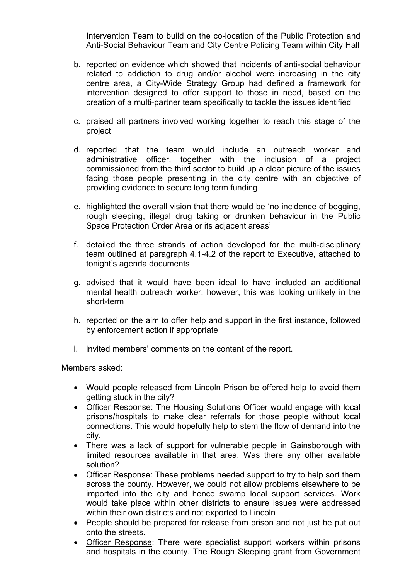Intervention Team to build on the co-location of the Public Protection and Anti-Social Behaviour Team and City Centre Policing Team within City Hall

- b. reported on evidence which showed that incidents of anti-social behaviour related to addiction to drug and/or alcohol were increasing in the city centre area, a City-Wide Strategy Group had defined a framework for intervention designed to offer support to those in need, based on the creation of a multi-partner team specifically to tackle the issues identified
- c. praised all partners involved working together to reach this stage of the project
- d. reported that the team would include an outreach worker and administrative officer, together with the inclusion of a project commissioned from the third sector to build up a clear picture of the issues facing those people presenting in the city centre with an objective of providing evidence to secure long term funding
- e. highlighted the overall vision that there would be 'no incidence of begging, rough sleeping, illegal drug taking or drunken behaviour in the Public Space Protection Order Area or its adjacent areas'
- f. detailed the three strands of action developed for the multi-disciplinary team outlined at paragraph 4.1-4.2 of the report to Executive, attached to tonight's agenda documents
- g. advised that it would have been ideal to have included an additional mental health outreach worker, however, this was looking unlikely in the short-term
- h. reported on the aim to offer help and support in the first instance, followed by enforcement action if appropriate
- i. invited members' comments on the content of the report.

Members asked:

- Would people released from Lincoln Prison be offered help to avoid them getting stuck in the city?
- Officer Response: The Housing Solutions Officer would engage with local prisons/hospitals to make clear referrals for those people without local connections. This would hopefully help to stem the flow of demand into the city.
- There was a lack of support for vulnerable people in Gainsborough with limited resources available in that area. Was there any other available solution?
- Officer Response: These problems needed support to try to help sort them across the county. However, we could not allow problems elsewhere to be imported into the city and hence swamp local support services. Work would take place within other districts to ensure issues were addressed within their own districts and not exported to Lincoln
- People should be prepared for release from prison and not just be put out onto the streets.
- Officer Response: There were specialist support workers within prisons and hospitals in the county. The Rough Sleeping grant from Government